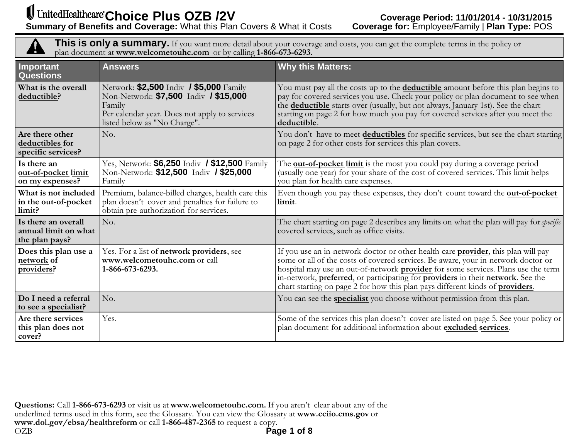4

**This is only <sup>a</sup> summary.** If you want more detail about your coverage and costs, you can ge<sup>t</sup> the complete terms in the policy or plan document at **www.welcometouhc.com** or by calling **1-866-673-6293.**

| Important<br><b>Questions</b>                                 | <b>Answers</b>                                                                                                                                                              | <b>Why this Matters:</b>                                                                                                                                                                                                                                                                                                                                                                                                                       |
|---------------------------------------------------------------|-----------------------------------------------------------------------------------------------------------------------------------------------------------------------------|------------------------------------------------------------------------------------------------------------------------------------------------------------------------------------------------------------------------------------------------------------------------------------------------------------------------------------------------------------------------------------------------------------------------------------------------|
| What is the overall<br>deductible?                            | Network: \$2,500 Indiv / \$5,000 Family<br>Non-Network: \$7,500 Indiv / \$15,000<br>Family<br>Per calendar year. Does not apply to services<br>listed below as "No Charge". | You must pay all the costs up to the deductible amount before this plan begins to<br>pay for covered services you use. Check your policy or plan document to see when<br>the deductible starts over (usually, but not always, January 1st). See the chart<br>starting on page 2 for how much you pay for covered services after you meet the<br>deductible.                                                                                    |
| Are there other<br>deductibles for<br>specific services?      | No.                                                                                                                                                                         | You don't have to meet deductibles for specific services, but see the chart starting<br>on page 2 for other costs for services this plan covers.                                                                                                                                                                                                                                                                                               |
| Is there an<br>out-of-pocket limit<br>on my expenses?         | Yes, Network: \$6,250 Indiv / \$12,500 Family<br>Non-Network: \$12,500 Indiv / \$25,000<br>Family                                                                           | The out-of-pocket limit is the most you could pay during a coverage period<br>(usually one year) for your share of the cost of covered services. This limit helps<br>you plan for health care expenses.                                                                                                                                                                                                                                        |
| What is not included<br>in the out-of-pocket<br>limit?        | Premium, balance-billed charges, health care this<br>plan doesn't cover and penalties for failure to<br>obtain pre-authorization for services.                              | Even though you pay these expenses, they don't count toward the out-of-pocket<br>limit.                                                                                                                                                                                                                                                                                                                                                        |
| Is there an overall<br>annual limit on what<br>the plan pays? | No.                                                                                                                                                                         | The chart starting on page 2 describes any limits on what the plan will pay for <i>specific</i><br>covered services, such as office visits.                                                                                                                                                                                                                                                                                                    |
| Does this plan use a<br>network of<br>providers?              | Yes. For a list of network providers, see<br>www.welcometouhc.com or call<br>1-866-673-6293.                                                                                | If you use an in-network doctor or other health care <b>provider</b> , this plan will pay<br>some or all of the costs of covered services. Be aware, your in-network doctor or<br>hospital may use an out-of-network <b>provider</b> for some services. Plans use the term<br>in-network, preferred, or participating for providers in their network. See the<br>chart starting on page 2 for how this plan pays different kinds of providers. |
| Do I need a referral<br>to see a specialist?                  | No.                                                                                                                                                                         | You can see the specialist you choose without permission from this plan.                                                                                                                                                                                                                                                                                                                                                                       |
| Are there services<br>this plan does not<br>cover?            | Yes.                                                                                                                                                                        | Some of the services this plan doesn't cover are listed on page 5. See your policy or<br>plan document for additional information about excluded services.                                                                                                                                                                                                                                                                                     |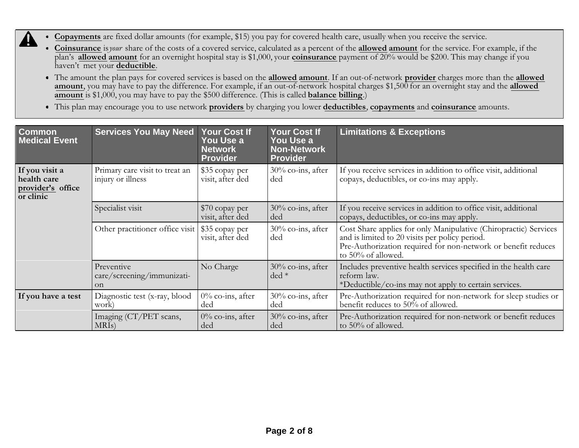- **Copayments** are fixed dollar amounts (for example, \$15) you pay for covered health care, usually when you receive the service.
	- **Coinsurance** is*your* share of the costs of <sup>a</sup> covered service, calculated as <sup>a</sup> percent of the **allowed amount** for the service. For example, if the plan's **allowed amount** for an overnight hospital stay is \$1,000, your **coinsurance** payment of 20% would be \$200. This may change if you haven't met your **deductible**.
	- The amount the plan pays for covered services is based on the **allowed amount**. If an out-of-network **provider** charges more than the **allowed amount**, you may have to pay the difference. For example, if an out-of-network hospital charges \$1,500 for an overnight stay and the **allowed amount** is \$1,000, you may have to pay the \$500 difference. (This is called **balance billing**.)
	- This plan may encourage you to use network **providers** by charging you lower **deductibles**, **copayments** and **coinsurance** amounts.

| <b>Common</b><br>Medical Event                                  | <b>Services You May Need</b>                              | <b>Your Cost If</b><br>You Use a<br><b>Network</b><br><b>Provider</b> | <b>Your Cost If</b><br>You Use a<br><b>Non-Network</b><br><b>Provider</b> | <b>Limitations &amp; Exceptions</b>                                                                                                                                                                       |
|-----------------------------------------------------------------|-----------------------------------------------------------|-----------------------------------------------------------------------|---------------------------------------------------------------------------|-----------------------------------------------------------------------------------------------------------------------------------------------------------------------------------------------------------|
| If you visit a<br>health care<br>provider's office<br>or clinic | Primary care visit to treat an<br>injury or illness       | \$35 copay per<br>visit, after ded                                    | 30% co-ins, after<br>ded                                                  | If you receive services in addition to office visit, additional<br>copays, deductibles, or co-ins may apply.                                                                                              |
|                                                                 | Specialist visit                                          | \$70 copay per<br>visit, after ded                                    | 30% co-ins, after<br>ded                                                  | If you receive services in addition to office visit, additional<br>copays, deductibles, or co-ins may apply.                                                                                              |
|                                                                 | Other practitioner office visit                           | \$35 copay per<br>visit, after ded                                    | 30% co-ins, after<br>ded                                                  | Cost Share applies for only Manipulative (Chiropractic) Services<br>and is limited to 20 visits per policy period.<br>Pre-Authorization required for non-network or benefit reduces<br>to 50% of allowed. |
|                                                                 | Preventive<br>care/screening/immunizati-<br><sub>on</sub> | No Charge                                                             | $30\%$ co-ins, after<br>$ded *$                                           | Includes preventive health services specified in the health care<br>reform law.<br>*Deductible/co-ins may not apply to certain services.                                                                  |
| If you have a test                                              | Diagnostic test (x-ray, blood<br>work)                    | 0% co-ins, after<br>ded                                               | 30% co-ins, after<br>ded                                                  | Pre-Authorization required for non-network for sleep studies or<br>benefit reduces to 50% of allowed.                                                                                                     |
|                                                                 | Imaging (CT/PET scans,<br>MRI <sub>s</sub> )              | $0\%$ co-ins, after<br>ded                                            | 30% co-ins, after<br>ded                                                  | Pre-Authorization required for non-network or benefit reduces<br>to 50% of allowed.                                                                                                                       |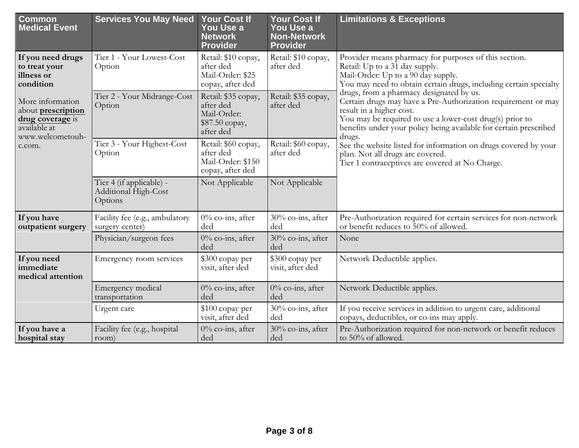| Common<br><b>Medical Event</b>                                                                                                           | <b>Services You May Need</b>                                | <b>Your Cost If</b><br>You Use a<br><b>Network</b><br><b>Provider</b>                                                                                  | <b>Your Cost If</b><br>You Use a<br><b>Non-Network</b><br><b>Provider</b> | <b>Limitations &amp; Exceptions</b>                                                                                                                                                                                                                                              |
|------------------------------------------------------------------------------------------------------------------------------------------|-------------------------------------------------------------|--------------------------------------------------------------------------------------------------------------------------------------------------------|---------------------------------------------------------------------------|----------------------------------------------------------------------------------------------------------------------------------------------------------------------------------------------------------------------------------------------------------------------------------|
| If you need drugs<br>to treat your<br>illness or<br>condition                                                                            | Tier 1 - Your Lowest-Cost<br>Option                         | Retail: \$10 copay,<br>after ded<br>Mail-Order: \$25<br>copay, after ded                                                                               | Retail: \$10 copay,<br>after ded                                          | Provider means pharmacy for purposes of this section.<br>Retail: Up to a $3\overline{1}$ day supply.<br>Mail-Order: Up to a 90 day supply.<br>You may need to obtain certain drugs, including certain specialty                                                                  |
| More information<br>about prescription<br>drug coverage is<br>available at<br>www.welcometouh-                                           | Tier 2 - Your Midrange-Cost<br>Option                       | Retail: \$35 copay,<br>after ded<br>Mail-Order:<br>\$87.50 copay,<br>after ded                                                                         | Retail: \$35 copay,<br>after ded                                          | drugs, from a pharmacy designated by us.<br>Certain drugs may have a Pre-Authorization requirement or may<br>result in a higher cost.<br>You may be required to use a lower-cost drug(s) prior to<br>benefits under your policy being available for certain prescribed<br>drugs. |
| Tier 3 - Your Highest-Cost<br>Retail: \$60 copay,<br>c.com.<br>after ded<br>after ded<br>Option<br>Mail-Order: \$150<br>copay, after ded | Retail: \$60 copay,                                         | See the website listed for information on drugs covered by your<br>plan. Not all drugs are covered.<br>Tier 1 contraceptives are covered at No Charge. |                                                                           |                                                                                                                                                                                                                                                                                  |
|                                                                                                                                          | Tier 4 (if applicable) -<br>Additional High-Cost<br>Options | Not Applicable                                                                                                                                         | Not Applicable                                                            |                                                                                                                                                                                                                                                                                  |
| If you have<br>outpatient surgery                                                                                                        | Facility fee (e.g., ambulatory<br>surgery center)           | $0\%$ co-ins, after<br>ded                                                                                                                             | 30% co-ins, after<br>ded                                                  | Pre-Authorization required for certain services for non-network<br>or benefit reduces to 50% of allowed.                                                                                                                                                                         |
|                                                                                                                                          | Physician/surgeon fees                                      | $0\%$ co-ins, after<br>ded                                                                                                                             | 30% co-ins, after<br>ded                                                  | None                                                                                                                                                                                                                                                                             |
| If you need<br>immediate<br>medical attention                                                                                            | Emergency room services                                     | \$300 copay per<br>visit, after ded                                                                                                                    | \$300 copay per<br>visit, after ded                                       | Network Deductible applies.                                                                                                                                                                                                                                                      |
|                                                                                                                                          | Emergency medical<br>transportation                         | $0\%$ co-ins, after<br>ded                                                                                                                             | $0\%$ co-ins, after<br>ded                                                | Network Deductible applies.                                                                                                                                                                                                                                                      |
|                                                                                                                                          | Urgent care                                                 | \$100 copay per<br>visit, after ded                                                                                                                    | 30% co-ins, after<br>ded                                                  | If you receive services in addition to urgent care, additional<br>copays, deductibles, or co-ins may apply.                                                                                                                                                                      |
| If you have a<br>hospital stay                                                                                                           | Facility fee (e.g., hospital<br>room)                       | $0\%$ co-ins, after<br>ded                                                                                                                             | 30% co-ins, after<br>ded                                                  | Pre-Authorization required for non-network or benefit reduces<br>to 50% of allowed.                                                                                                                                                                                              |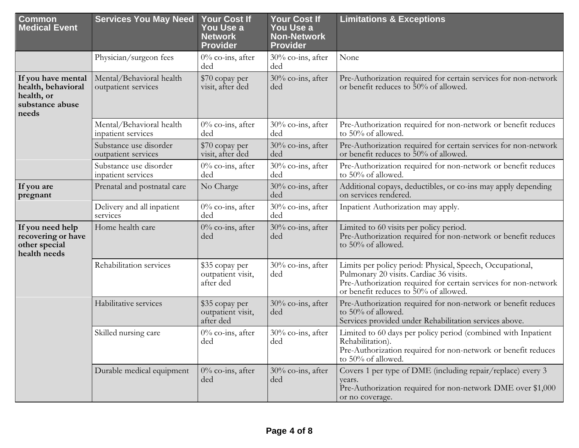| <b>Common</b><br><b>Medical Event</b>                                              | <b>Services You May Need</b>                    | <b>Your Cost If</b><br>You Use a<br><b>Network</b><br><b>Provider</b> | <b>Your Cost If</b><br>You Use a<br><b>Non-Network</b><br><b>Provider</b> | <b>Limitations &amp; Exceptions</b>                                                                                                                                                                              |
|------------------------------------------------------------------------------------|-------------------------------------------------|-----------------------------------------------------------------------|---------------------------------------------------------------------------|------------------------------------------------------------------------------------------------------------------------------------------------------------------------------------------------------------------|
|                                                                                    | Physician/surgeon fees                          | $0\%$ co-ins, after<br>ded                                            | 30% co-ins, after<br>ded                                                  | None                                                                                                                                                                                                             |
| If you have mental<br>health, behavioral<br>health, or<br>substance abuse<br>needs | Mental/Behavioral health<br>outpatient services | \$70 copay per<br>visit, after ded                                    | 30% co-ins, after<br>ded                                                  | Pre-Authorization required for certain services for non-network<br>or benefit reduces to 50% of allowed.                                                                                                         |
|                                                                                    | Mental/Behavioral health<br>inpatient services  | $0\%$ co-ins, after<br>ded                                            | 30% co-ins, after<br>ded                                                  | Pre-Authorization required for non-network or benefit reduces<br>to 50% of allowed.                                                                                                                              |
|                                                                                    | Substance use disorder<br>outpatient services   | \$70 copay per<br>visit, after ded                                    | 30% co-ins, after<br>ded                                                  | Pre-Authorization required for certain services for non-network<br>or benefit reduces to 50% of allowed.                                                                                                         |
|                                                                                    | Substance use disorder<br>inpatient services    | $0\%$ co-ins, after<br>ded                                            | $30\%$ co-ins, after<br>ded                                               | Pre-Authorization required for non-network or benefit reduces<br>to 50% of allowed.                                                                                                                              |
| If you are<br>pregnant                                                             | Prenatal and postnatal care                     | No Charge                                                             | 30% co-ins, after<br>ded                                                  | Additional copays, deductibles, or co-ins may apply depending<br>on services rendered.                                                                                                                           |
|                                                                                    | Delivery and all inpatient<br>services          | $0\%$ co-ins, after<br>ded                                            | 30% co-ins, after<br>ded                                                  | Inpatient Authorization may apply.                                                                                                                                                                               |
| If you need help<br>recovering or have<br>other special<br>health needs            | Home health care                                | $0\%$ co-ins, after<br>ded                                            | 30% co-ins, after<br>ded                                                  | Limited to 60 visits per policy period.<br>Pre-Authorization required for non-network or benefit reduces<br>to 50% of allowed.                                                                                   |
|                                                                                    | Rehabilitation services                         | \$35 copay per<br>outpatient visit,<br>after ded                      | $30\%$ co-ins, after<br>ded                                               | Limits per policy period: Physical, Speech, Occupational,<br>Pulmonary 20 visits. Cardiac 36 visits.<br>Pre-Authorization required for certain services for non-network<br>or benefit reduces to 50% of allowed. |
|                                                                                    | Habilitative services                           | \$35 copay per<br>outpatient visit,<br>after ded                      | 30% co-ins, after<br>ded                                                  | Pre-Authorization required for non-network or benefit reduces<br>to 50% of allowed.<br>Services provided under Rehabilitation services above.                                                                    |
|                                                                                    | Skilled nursing care                            | $0\%$ co-ins, after<br>ded                                            | $30\%$ co-ins, after<br>ded                                               | Limited to 60 days per policy period (combined with Inpatient<br>Rehabilitation).<br>Pre-Authorization required for non-network or benefit reduces<br>to 50% of allowed.                                         |
|                                                                                    | Durable medical equipment                       | $0\%$ co-ins, after<br>ded                                            | 30% co-ins, after<br>ded                                                  | Covers 1 per type of DME (including repair/replace) every 3<br>vears.<br>Pre-Authorization required for non-network DME over \$1,000<br>or no coverage.                                                          |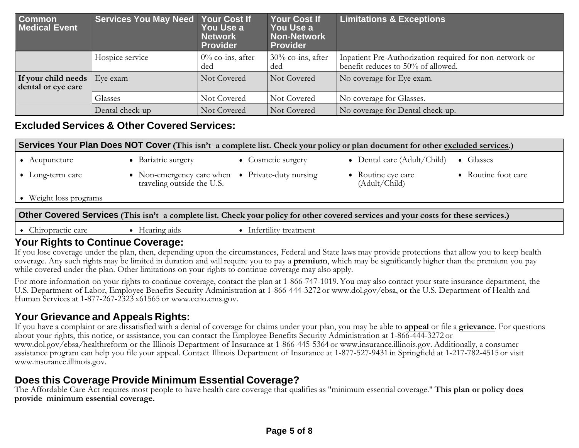| Common<br><b>Medical Event</b>            | <b>Services You May Need</b> | <b>Your Cost If</b><br>You Use a<br><b>Network</b><br><b>Provider</b> | <b>Your Cost If</b><br>You Use a<br><b>Non-Network</b><br><b>Provider</b> | <b>Limitations &amp; Exceptions</b>                                                           |
|-------------------------------------------|------------------------------|-----------------------------------------------------------------------|---------------------------------------------------------------------------|-----------------------------------------------------------------------------------------------|
|                                           | Hospice service              | $0\%$ co-ins, after<br>ded                                            | $30\%$ co-ins, after<br>ded                                               | Inpatient Pre-Authorization required for non-network or<br>benefit reduces to 50% of allowed. |
| If your child needs<br>dental or eye care | Eye exam                     | Not Covered                                                           | Not Covered                                                               | No coverage for Eye exam.                                                                     |
|                                           | Glasses                      | Not Covered                                                           | Not Covered                                                               | No coverage for Glasses.                                                                      |
|                                           | Dental check-up              | Not Covered                                                           | Not Covered                                                               | No coverage for Dental check-up.                                                              |

### **Excluded Services & Other Covered Services:**

| Services Your Plan Does NOT Cover (This isn't a complete list. Check your policy or plan document for other excluded services.)      |                                                                                |                    |                                     |                     |
|--------------------------------------------------------------------------------------------------------------------------------------|--------------------------------------------------------------------------------|--------------------|-------------------------------------|---------------------|
| $\bullet$ Acupuncture                                                                                                                | • Bariatric surgery                                                            | • Cosmetic surgery | • Dental care $(Adult/Child)$       | $\bullet$ Glasses   |
| $\bullet$ Long-term care                                                                                                             | • Non-emergency care when • Private-duty nursing<br>traveling outside the U.S. |                    | • Routine eye care<br>(Adult/Child) | • Routine foot care |
| • Weight loss programs                                                                                                               |                                                                                |                    |                                     |                     |
| Other Covered Services (This isn't a complete list. Check your policy for other covered services and your costs for these services.) |                                                                                |                    |                                     |                     |

• Chiropractic care Hearing aids Infertility treatment

## **Your Rights to Continue Coverage:**

If you lose coverage under the plan, then, depending upon the circumstances, Federal and State laws may provide protections that allow you to keep health coverage. Any such rights may be limited in duration and will require you to pay <sup>a</sup> **premium**, which may be significantly higher than the premium you pay while covered under the plan. Other limitations on your rights to continue coverage may also apply.

For more information on your rights to continue coverage, contact the plan at 1-866-747-1019.You may also contact your state insurance department, the U.S. Department of Labor, Employee Benefits Security Administration at 1-866-444-3272 or www.dol.gov/ebsa, or the U.S. Department of Health and Human Services at 1-877-267-2323 x61565 or www.cciio.cms.gov.

# **Your Grievance and Appeals Rights:**

If you have <sup>a</sup> complaint or are dissatisfied with <sup>a</sup> denial of coverage for claims under your plan, you may be able to **appeal** or file <sup>a</sup> **grievance**. For questions about your rights, this notice, or assistance, you can contact the Employee Benefits Security Administration at 1-866-444-3272 or www.dol.gov/ebsa/healthreform or the Illinois Department of Insurance at 1-866-445-5364 or www.insurance.illinois.gov. Additionally, <sup>a</sup> consumer assistance program can help you file your appeal. Contact Illinois Department of Insurance at 1-877-527-9431 in Springfield at 1-217-782-4515 or visit www.insurance.illinois.gov.

# **Does this Coverage Provide Minimum Essential Coverage?**

The Affordable Care Act requires most people to have health care coverage that qualifies as "minimum essential coverage." **This plan or policy does provide minimum essential coverage.**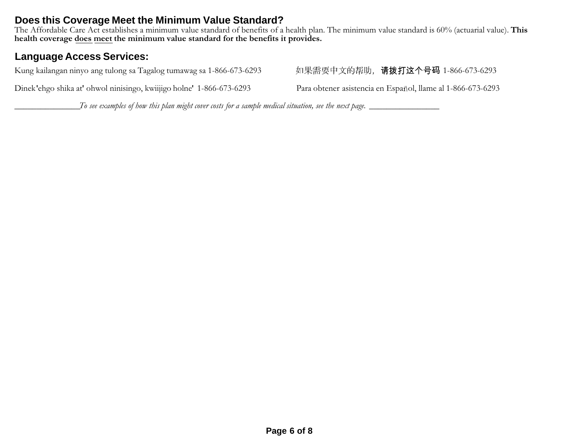# **Does this Coverage Meet the Minimum Value Standard?**

The Affordable Care Act establishes <sup>a</sup> minimum value standard of benefits of <sup>a</sup> health plan. The minimum value standard is 60% (actuarial value). **This health coverage does meet the minimum value standard for the benefits it provides.**

# **Language Access Services:**

Kung kailangan ninyo ang tulong sa Tagalog tumawag sa 1-866-673-6293 如果需要中文的帮助,请拨打这个号码 1-866-673-6293

Dinek ehgo shika at' ohwol ninisingo, kwiijigo holne' 1-866-673-6293 Para obtener asistencia en Español, llame al 1-866-673-6293

To see examples of how this plan might cover costs for a sample medical situation, see the next page.  $\_\_$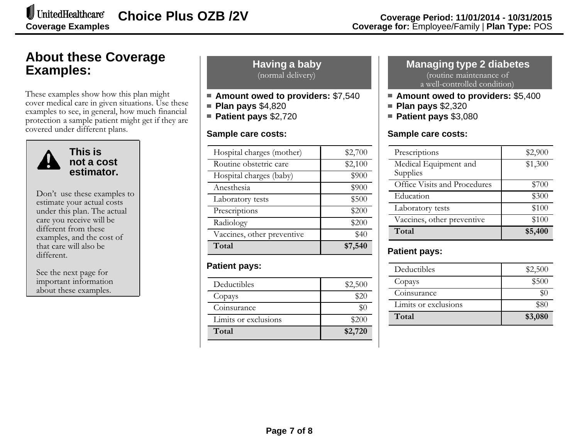# **About these Coverage Examples:**

These examples show how this plan might cover medical care in given situations. Use these examples to see, in general, how much financial protection <sup>a</sup> sample patient might ge<sup>t</sup> if they are covered under different plans.



**This is not a cost estimator.**

Don't use these examples to estimate your actual costs under this plan. The actual care you receive will be different from these examples, and the cost of that care will also be different.

See the next page for important information about these examples.

**Having <sup>a</sup> baby** (normal delivery)

- **Amount owed to providers:** \$7,540
- **Plan pays** \$4,820
- **Patient pays** \$2,720

#### **Sample care costs:**

| Vaccines, other preventive<br>Total | \$40<br>\$7,540 |
|-------------------------------------|-----------------|
| Radiology                           | \$200           |
| Prescriptions                       | \$200           |
| Laboratory tests                    | \$500           |
| Anesthesia                          | \$900           |
| Hospital charges (baby)             | \$900           |
| Routine obstetric care              | \$2,100         |
| Hospital charges (mother)           | \$2,700         |

### **Patient pays:**

| Deductibles          | \$2,500 |
|----------------------|---------|
| Copays               | \$20    |
| Coinsurance          | \$0     |
| Limits or exclusions | \$200   |
| Total                | \$2,720 |

#### **Managing type 2 diabetes** (routine maintenance of a well-controlled condition)

- **Amount owed to providers:** \$5,400
- **Plan pays** \$2,320
- **Patient pays** \$3,080

#### **Sample care costs:**

| Prescriptions                     | \$2,900 |
|-----------------------------------|---------|
| Medical Equipment and<br>Supplies | \$1,300 |
| Office Visits and Procedures      | \$700   |
| Education                         | \$300   |
| Laboratory tests                  | \$100   |
| Vaccines, other preventive        | \$100   |
| Total                             | \$5,400 |

## **Patient pays:**

| Deductibles          | \$2,500 |
|----------------------|---------|
| Copays               | \$500   |
| Coinsurance          | \$0     |
| Limits or exclusions | \$80    |
| Total                | \$3,080 |